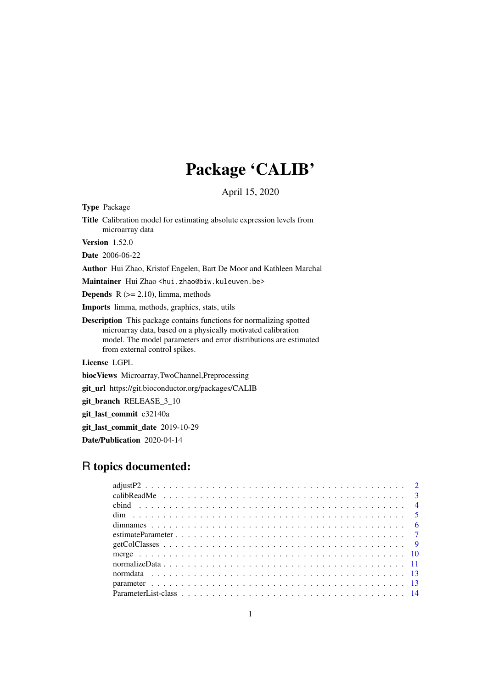# Package 'CALIB'

April 15, 2020

<span id="page-0-0"></span>Type Package

Title Calibration model for estimating absolute expression levels from microarray data

Version 1.52.0

Date 2006-06-22

Author Hui Zhao, Kristof Engelen, Bart De Moor and Kathleen Marchal

Maintainer Hui Zhao <hui.zhao@biw.kuleuven.be>

**Depends**  $R$  ( $>= 2.10$ ), limma, methods

Imports limma, methods, graphics, stats, utils

Description This package contains functions for normalizing spotted microarray data, based on a physically motivated calibration model. The model parameters and error distributions are estimated from external control spikes.

License LGPL

biocViews Microarray,TwoChannel,Preprocessing

git\_url https://git.bioconductor.org/packages/CALIB

git branch RELEASE 3 10

git\_last\_commit c32140a

git\_last\_commit\_date 2019-10-29

Date/Publication 2020-04-14

## R topics documented: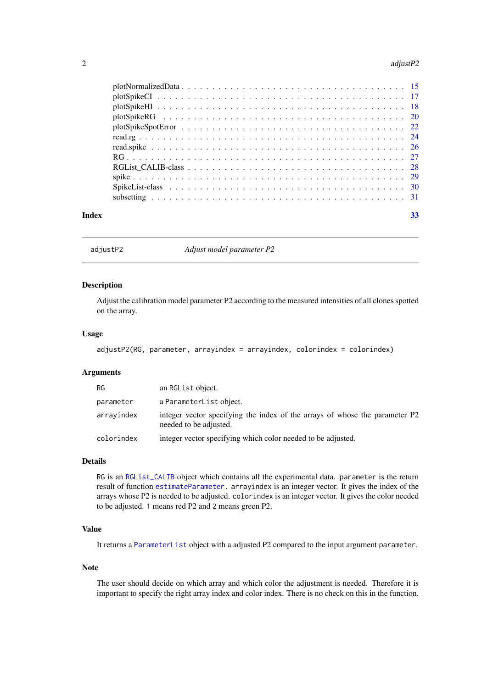#### <span id="page-1-0"></span>2 adjust P2

#### **Index** [33](#page-32-0)

adjustP2 *Adjust model parameter P2*

### Description

Adjust the calibration model parameter P2 according to the measured intensities of all clones spotted on the array.

### Usage

```
adjustP2(RG, parameter, arrayindex = arrayindex, colorindex = colorindex)
```
### Arguments

| <b>RG</b>  | an RGL ist object.                                                                                    |
|------------|-------------------------------------------------------------------------------------------------------|
| parameter  | a ParameterList object.                                                                               |
| arrayindex | integer vector specifying the index of the arrays of whose the parameter P2<br>needed to be adjusted. |
| colorindex | integer vector specifying which color needed to be adjusted.                                          |

### Details

RG is an [RGList\\_CALIB](#page-0-0) object which contains all the experimental data. parameter is the return result of function [estimateParameter.](#page-6-1) arrayindex is an integer vector. It gives the index of the arrays whose P2 is needed to be adjusted. colorindex is an integer vector. It gives the color needed to be adjusted. 1 means red P2 and 2 means green P2.

### Value

It returns a [ParameterList](#page-0-0) object with a adjusted P2 compared to the input argument parameter.

### Note

The user should decide on which array and which color the adjustment is needed. Therefore it is important to specify the right array index and color index. There is no check on this in the function.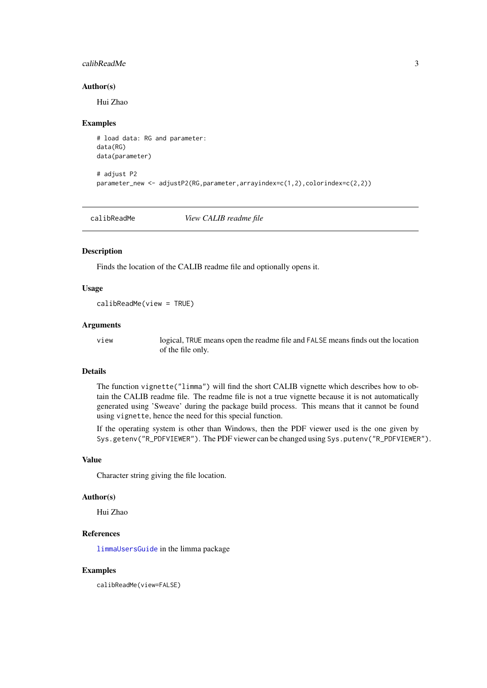#### <span id="page-2-0"></span>calibReadMe 3

#### Author(s)

Hui Zhao

#### Examples

```
# load data: RG and parameter:
data(RG)
data(parameter)
```

```
# adjust P2
parameter_new <- adjustP2(RG,parameter,arrayindex=c(1,2),colorindex=c(2,2))
```
calibReadMe *View CALIB readme file*

#### Description

Finds the location of the CALIB readme file and optionally opens it.

#### Usage

```
calibReadMe(view = TRUE)
```
#### Arguments

view logical, TRUE means open the readme file and FALSE means finds out the location of the file only.

### Details

The function vignette("limma") will find the short CALIB vignette which describes how to obtain the CALIB readme file. The readme file is not a true vignette because it is not automatically generated using 'Sweave' during the package build process. This means that it cannot be found using vignette, hence the need for this special function.

If the operating system is other than Windows, then the PDF viewer used is the one given by Sys.getenv("R\_PDFVIEWER"). The PDF viewer can be changed using Sys.putenv("R\_PDFVIEWER").

### Value

Character string giving the file location.

#### Author(s)

Hui Zhao

### References

[limmaUsersGuide](#page-0-0) in the limma package

#### Examples

calibReadMe(view=FALSE)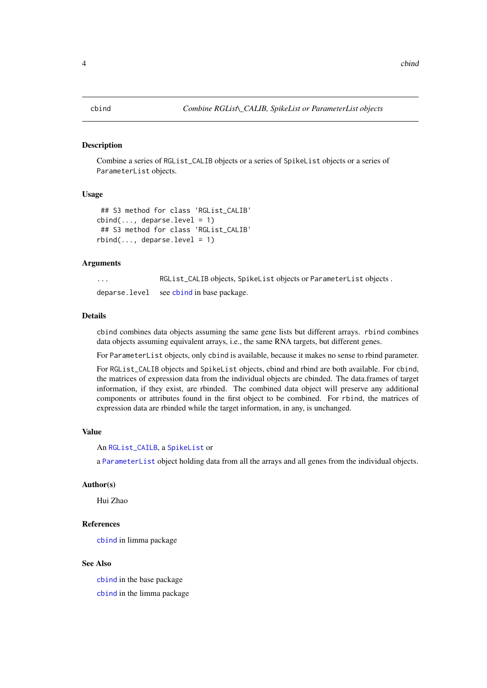#### <span id="page-3-1"></span><span id="page-3-0"></span>Description

Combine a series of RGList\_CALIB objects or a series of SpikeList objects or a series of ParameterList objects.

#### Usage

```
## S3 method for class 'RGList_CALIB'
cbind(...; deparse.level = 1)## S3 method for class 'RGList CALIB'
rbind(..., deparse. level = 1)
```
### Arguments

... RGList\_CALIB objects, SpikeList objects or ParameterList objects. deparse.level see [cbind](#page-3-1) in base package.

#### Details

cbind combines data objects assuming the same gene lists but different arrays. rbind combines data objects assuming equivalent arrays, i.e., the same RNA targets, but different genes.

For ParameterList objects, only cbind is available, because it makes no sense to rbind parameter.

For RGList\_CALIB objects and SpikeList objects, cbind and rbind are both available. For cbind, the matrices of expression data from the individual objects are cbinded. The data.frames of target information, if they exist, are rbinded. The combined data object will preserve any additional components or attributes found in the first object to be combined. For rbind, the matrices of expression data are rbinded while the target information, in any, is unchanged.

### Value

An [RGList\\_CAILB](#page-0-0), a [SpikeList](#page-0-0) or

a [ParameterList](#page-0-0) object holding data from all the arrays and all genes from the individual objects.

#### Author(s)

Hui Zhao

#### References

[cbind](#page-3-1) in limma package

#### See Also

[cbind](#page-3-1) in the base package [cbind](#page-3-1) in the limma package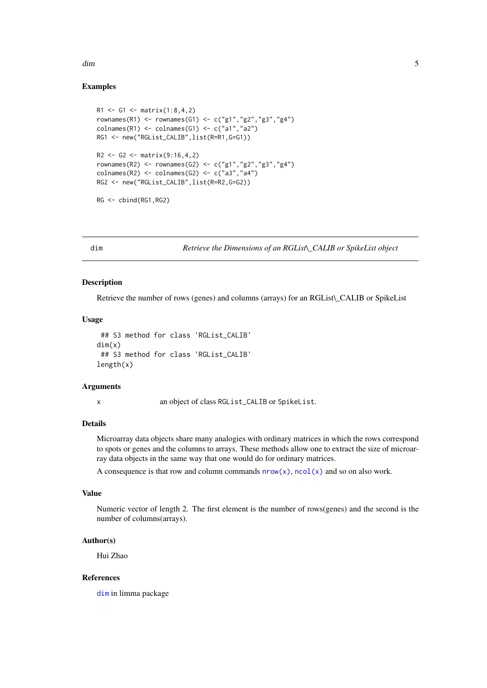<span id="page-4-0"></span>dim 5

### Examples

```
R1 \leq G1 \leq max(1:8,4,2)rownames(R1) <- rownames(G1) <- c("g1","g2","g3","g4")
colnames(R1) <- colnames(G1) <- c("a1","a2")
RG1 <- new("RGList_CALIB",list(R=R1,G=G1))
R2 \leq G2 \leq \text{matrix}(9:16, 4, 2)rownames(R2) <- rownames(G2) <- c("g1","g2","g3","g4")
colnames(R2) <- colnames(G2) <- c("a3","a4")
RG2 <- new("RGList_CALIB",list(R=R2,G=G2))
RG <- cbind(RG1,RG2)
```
<span id="page-4-1"></span>dim *Retrieve the Dimensions of an RGList\\_CALIB or SpikeList object*

### Description

Retrieve the number of rows (genes) and columns (arrays) for an RGList\ CALIB or SpikeList

### Usage

```
## S3 method for class 'RGList_CALIB'
dim(x)
 ## S3 method for class 'RGList_CALIB'
length(x)
```
#### Arguments

x an object of class RGList\_CALIB or SpikeList.

### Details

Microarray data objects share many analogies with ordinary matrices in which the rows correspond to spots or genes and the columns to arrays. These methods allow one to extract the size of microarray data objects in the same way that one would do for ordinary matrices.

A consequence is that row and column commands  $nrow(x)$ ,  $ncol(x)$  and so on also work.

### Value

Numeric vector of length 2. The first element is the number of rows(genes) and the second is the number of columns(arrays).

### Author(s)

Hui Zhao

### References

[dim](#page-4-1) in limma package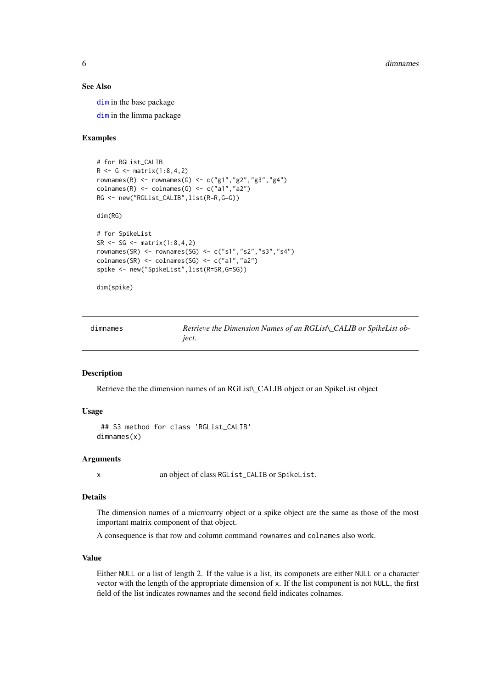### See Also

[dim](#page-4-1) in the base package

[dim](#page-4-1) in the limma package

### Examples

```
# for RGList_CALIB
R <- G <- matrix(1:8, 4, 2)rownames(R) <- rownames(G) <- c("g1","g2","g3","g4")
\text{colnames}(R) \leftarrow \text{colnames}(G) \leftarrow c("a1", "a2")RG <- new("RGList_CALIB",list(R=R,G=G))
```
dim(RG)

```
# for SpikeList
SR < - SG < - matrix(1:8, 4, 2)rownames(SR) <- rownames(SG) <- c("s1","s2","s3","s4")
colnames(SR) <- colnames(SG) <- c("a1","a2")
spike <- new("SpikeList",list(R=SR,G=SG))
```
dim(spike)

<span id="page-5-1"></span>

| dimnames | Retrieve the Dimension Names of an RGList\_CALIB or SpikeList ob- |
|----------|-------------------------------------------------------------------|
|          | <i>iect.</i>                                                      |

### Description

Retrieve the the dimension names of an RGList\\_CALIB object or an SpikeList object

### Usage

```
## S3 method for class 'RGList_CALIB'
dimnames(x)
```
### Arguments

x an object of class RGList\_CALIB or SpikeList.

#### Details

The dimension names of a micrroarry object or a spike object are the same as those of the most important matrix component of that object.

A consequence is that row and column command rownames and colnames also work.

### Value

Either NULL or a list of length 2. If the value is a list, its componets are either NULL or a character vector with the length of the appropriate dimension of x. If the list component is not NULL, the first field of the list indicates rownames and the second field indicates colnames.

<span id="page-5-0"></span>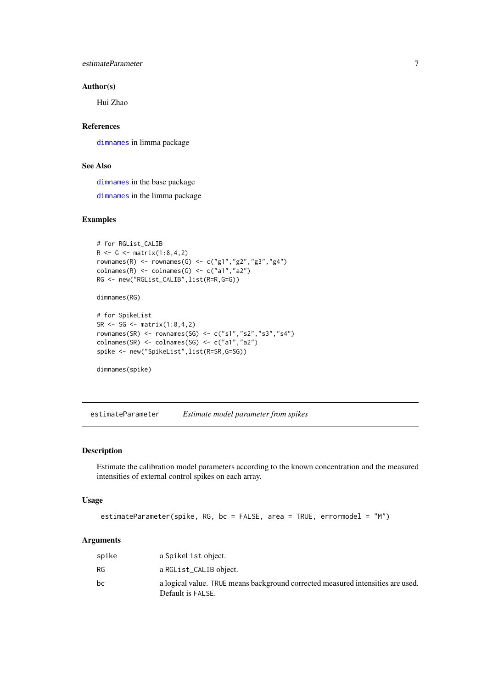<span id="page-6-0"></span>estimateParameter 7

### Author(s)

Hui Zhao

### References

[dimnames](#page-5-1) in limma package

### See Also

[dimnames](#page-5-1) in the base package

[dimnames](#page-5-1) in the limma package

### Examples

```
# for RGList_CALIB
R <- G <- matrix(1:8,4,2)
rownames(R) <- rownames(G) <- c("g1","g2","g3","g4")
colnames(R) <- colnames(G) <- c("a1","a2")
RG <- new("RGList_CALIB",list(R=R,G=G))
dimnames(RG)
# for SpikeList
SR < - SG < - matrix(1:8, 4, 2)rownames(SR) <- rownames(SG) <- c("s1","s2","s3","s4")
colnames(SR) <- colnames(SG) <- c("a1","a2")
spike <- new("SpikeList",list(R=SR,G=SG))
dimnames(spike)
```
<span id="page-6-1"></span>estimateParameter *Estimate model parameter from spikes*

### Description

Estimate the calibration model parameters according to the known concentration and the measured intensities of external control spikes on each array.

### Usage

```
estimateParameter(spike, RG, bc = FALSE, area = TRUE, errormodel = "M")
```
### Arguments

| spike     | a SpikeList object.                                                                                  |
|-----------|------------------------------------------------------------------------------------------------------|
| <b>RG</b> | a RGList_CALIB object.                                                                               |
| bc        | a logical value. TRUE means background corrected measured intensities are used.<br>Default is FALSE. |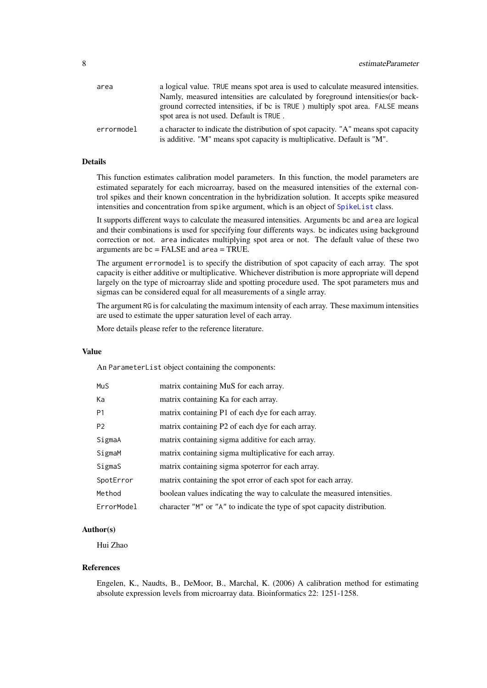<span id="page-7-0"></span>

| area       | a logical value. TRUE means spot area is used to calculate measured intensities.                                                                              |
|------------|---------------------------------------------------------------------------------------------------------------------------------------------------------------|
|            | Namly, measured intensities are calculated by foreground intensities (or back-                                                                                |
|            | ground corrected intensities, if bc is TRUE ) multiply spot area. FALSE means<br>spot area is not used. Default is TRUE.                                      |
| errormodel | a character to indicate the distribution of spot capacity. "A" means spot capacity<br>is additive. "M" means spot capacity is multiplicative. Default is "M". |

### Details

This function estimates calibration model parameters. In this function, the model parameters are estimated separately for each microarray, based on the measured intensities of the external control spikes and their known concentration in the hybridization solution. It accepts spike measured intensities and concentration from spike argument, which is an object of [SpikeList](#page-0-0) class.

It supports different ways to calculate the measured intensities. Arguments bc and area are logical and their combinations is used for specifying four differents ways. bc indicates using background correction or not. area indicates multiplying spot area or not. The default value of these two arguments are bc = FALSE and area = TRUE.

The argument errormodel is to specify the distribution of spot capacity of each array. The spot capacity is either additive or multiplicative. Whichever distribution is more appropriate will depend largely on the type of microarray slide and spotting procedure used. The spot parameters mus and sigmas can be considered equal for all measurements of a single array.

The argument RG is for calculating the maximum intensity of each array. These maximum intensities are used to estimate the upper saturation level of each array.

More details please refer to the reference literature.

#### Value

An ParameterList object containing the components:

| MuS            | matrix containing MuS for each array.                                    |
|----------------|--------------------------------------------------------------------------|
| Ka             | matrix containing Ka for each array.                                     |
| P <sub>1</sub> | matrix containing P1 of each dye for each array.                         |
| P <sub>2</sub> | matrix containing P2 of each dye for each array.                         |
| SigmaA         | matrix containing sigma additive for each array.                         |
| SigmaM         | matrix containing sigma multiplicative for each array.                   |
| SigmaS         | matrix containing sigma spoterror for each array.                        |
| SpotError      | matrix containing the spot error of each spot for each array.            |
| Method         | boolean values indicating the way to calculate the measured intensities. |
| ErrorModel     | character "M" or "A" to indicate the type of spot capacity distribution. |

#### Author(s)

Hui Zhao

### References

Engelen, K., Naudts, B., DeMoor, B., Marchal, K. (2006) A calibration method for estimating absolute expression levels from microarray data. Bioinformatics 22: 1251-1258.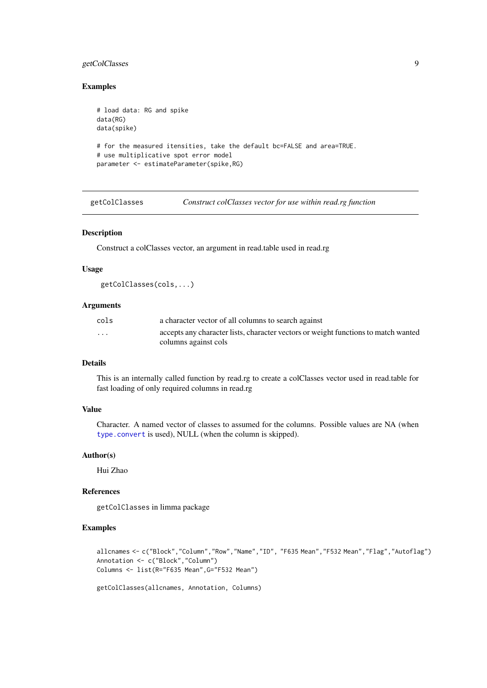### <span id="page-8-0"></span>getColClasses 9

### Examples

```
# load data: RG and spike
data(RG)
data(spike)
# for the measured itensities, take the default bc=FALSE and area=TRUE.
# use multiplicative spot error model
parameter <- estimateParameter(spike,RG)
```
getColClasses *Construct colClasses vector for use within read.rg function*

### Description

Construct a colClasses vector, an argument in read.table used in read.rg

### Usage

```
getColClasses(cols,...)
```
#### Arguments

| cols     | a character vector of all columns to search against                                |
|----------|------------------------------------------------------------------------------------|
| $\cdots$ | accepts any character lists, character vectors or weight functions to match wanted |
|          | columns against cols                                                               |

### Details

This is an internally called function by read.rg to create a colClasses vector used in read.table for fast loading of only required columns in read.rg

### Value

Character. A named vector of classes to assumed for the columns. Possible values are NA (when [type.convert](#page-0-0) is used), NULL (when the column is skipped).

#### Author(s)

Hui Zhao

### References

getColClasses in limma package

### Examples

```
allcnames <- c("Block","Column","Row","Name","ID", "F635 Mean","F532 Mean","Flag","Autoflag")
Annotation <- c("Block","Column")
Columns <- list(R="F635 Mean",G="F532 Mean")
```
getColClasses(allcnames, Annotation, Columns)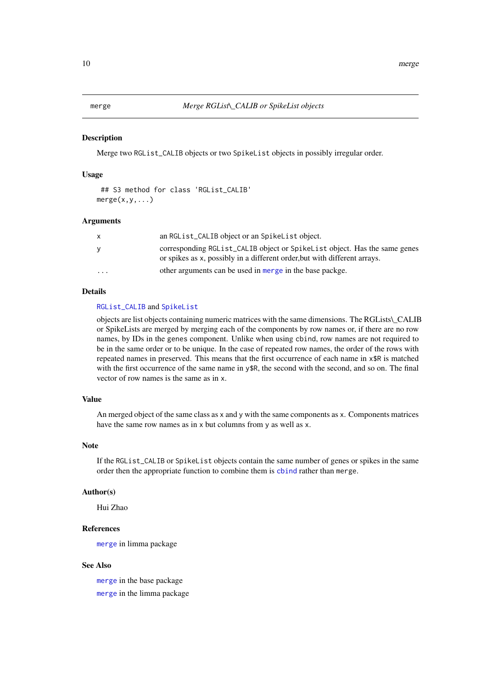<span id="page-9-1"></span><span id="page-9-0"></span>

### Description

Merge two RGList\_CALIB objects or two SpikeList objects in possibly irregular order.

### Usage

```
## S3 method for class 'RGList_CALIB'
merge(x,y,...)
```
### Arguments

|          | an RGList_CALIB object or an SpikeList object.                              |
|----------|-----------------------------------------------------------------------------|
| v        | corresponding RGL ist_CALIB object or SpikeL ist object. Has the same genes |
|          | or spikes as x, possibly in a different order, but with different arrays.   |
| $\cdots$ | other arguments can be used in merge in the base packge.                    |

### Details

#### [RGList\\_CALIB](#page-0-0) and [SpikeList](#page-0-0)

objects are list objects containing numeric matrices with the same dimensions. The RGLists\\_CALIB or SpikeLists are merged by merging each of the components by row names or, if there are no row names, by IDs in the genes component. Unlike when using cbind, row names are not required to be in the same order or to be unique. In the case of repeated row names, the order of the rows with repeated names in preserved. This means that the first occurrence of each name in x\$R is matched with the first occurrence of the same name in y\$R, the second with the second, and so on. The final vector of row names is the same as in x.

### Value

An merged object of the same class as x and y with the same components as x. Components matrices have the same row names as in x but columns from y as well as x.

### Note

If the RGList\_CALIB or SpikeList objects contain the same number of genes or spikes in the same order then the appropriate function to combine them is [cbind](#page-3-1) rather than merge.

#### Author(s)

Hui Zhao

### References

[merge](#page-9-1) in limma package

#### See Also

[merge](#page-9-1) in the base package [merge](#page-9-1) in the limma package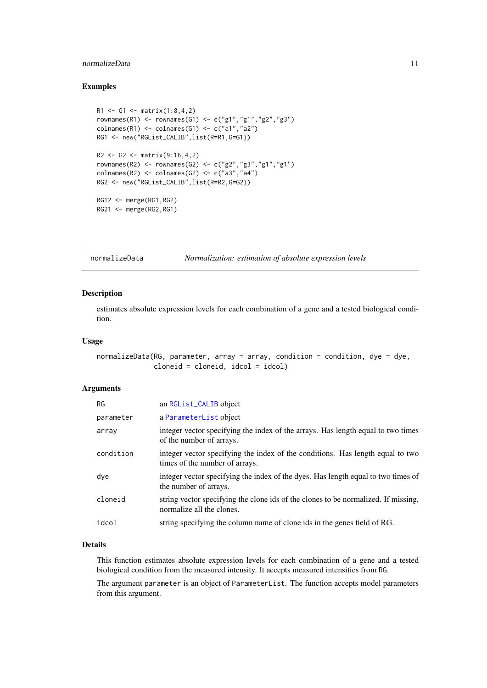#### <span id="page-10-0"></span>normalizeData 11

#### Examples

```
R1 <- G1 <- matrix(1:8,4,2)
rownames(R1) <- rownames(G1) <- c("g1","g1","g2","g3")
\text{columns}(R1) \leftarrow \text{columns}(G1) \leftarrow \text{c("a1", "a2")}RG1 <- new("RGList_CALIB",list(R=R1,G=G1))
R2 <- G2 <- matrix(9:16,4,2)
rownames(R2) <- rownames(G2) <- c("g2","g3","g1","g1")
colnames(R2) <- colnames(G2) <- c("a3","a4")
RG2 <- new("RGList_CALIB",list(R=R2,G=G2))
RG12 <- merge(RG1,RG2)
RG21 <- merge(RG2,RG1)
```
<span id="page-10-1"></span>normalizeData *Normalization: estimation of absolute expression levels*

#### Description

estimates absolute expression levels for each combination of a gene and a tested biological condition.

#### Usage

```
normalizeData(RG, parameter, array = array, condition = condition, dye = dye,
              cloneid = cloneid, idcol = idcol)
```
### Arguments

| <b>RG</b> | an RGList_CALIB object                                                                                           |
|-----------|------------------------------------------------------------------------------------------------------------------|
| parameter | a ParameterList object                                                                                           |
| array     | integer vector specifying the index of the arrays. Has length equal to two times<br>of the number of arrays.     |
| condition | integer vector specifying the index of the conditions. Has length equal to two<br>times of the number of arrays. |
| dye       | integer vector specifying the index of the dyes. Has length equal to two times of<br>the number of arrays.       |
| cloneid   | string vector specifying the clone ids of the clones to be normalized. If missing,<br>normalize all the clones.  |
| idcol     | string specifying the column name of clone ids in the genes field of RG.                                         |

#### Details

This function estimates absolute expression levels for each combination of a gene and a tested biological condition from the measured intensity. It accepts measured intensities from RG.

The argument parameter is an object of ParameterList. The function accepts model parameters from this argument.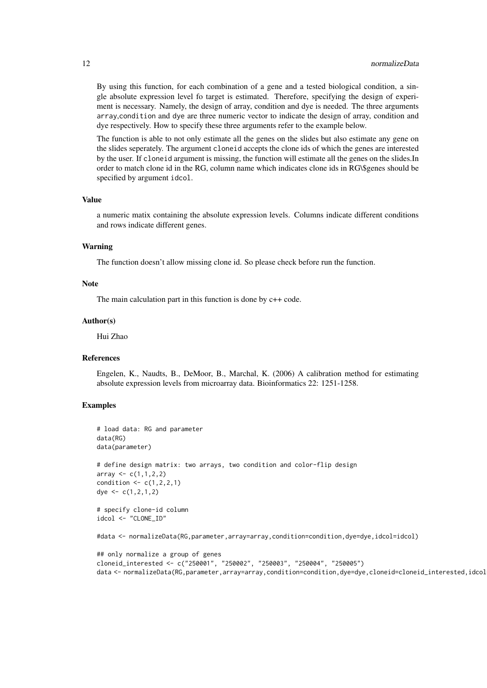By using this function, for each combination of a gene and a tested biological condition, a single absolute expression level fo target is estimated. Therefore, specifying the design of experiment is necessary. Namely, the design of array, condition and dye is needed. The three arguments array,condition and dye are three numeric vector to indicate the design of array, condition and dye respectively. How to specify these three arguments refer to the example below.

The function is able to not only estimate all the genes on the slides but also estimate any gene on the slides seperately. The argument cloneid accepts the clone ids of which the genes are interested by the user. If cloneid argument is missing, the function will estimate all the genes on the slides.In order to match clone id in the RG, column name which indicates clone ids in RG\\$genes should be specified by argument idcol.

#### Value

a numeric matix containing the absolute expression levels. Columns indicate different conditions and rows indicate different genes.

### Warning

The function doesn't allow missing clone id. So please check before run the function.

#### Note

The main calculation part in this function is done by c++ code.

#### Author(s)

Hui Zhao

### References

Engelen, K., Naudts, B., DeMoor, B., Marchal, K. (2006) A calibration method for estimating absolute expression levels from microarray data. Bioinformatics 22: 1251-1258.

### Examples

```
# load data: RG and parameter
data(RG)
data(parameter)
# define design matrix: two arrays, two condition and color-flip design
array <-c(1,1,2,2)condition \leq c(1,2,2,1)dye <-c(1,2,1,2)# specify clone-id column
idcol <- "CLONE_ID"
```
#data <- normalizeData(RG,parameter,array=array,condition=condition,dye=dye,idcol=idcol)

```
## only normalize a group of genes
cloneid_interested <- c("250001", "250002", "250003", "250004", "250005")
data <- normalizeData(RG,parameter,array=array,condition=condition,dye=dye,cloneid=cloneid_interested,idcol
```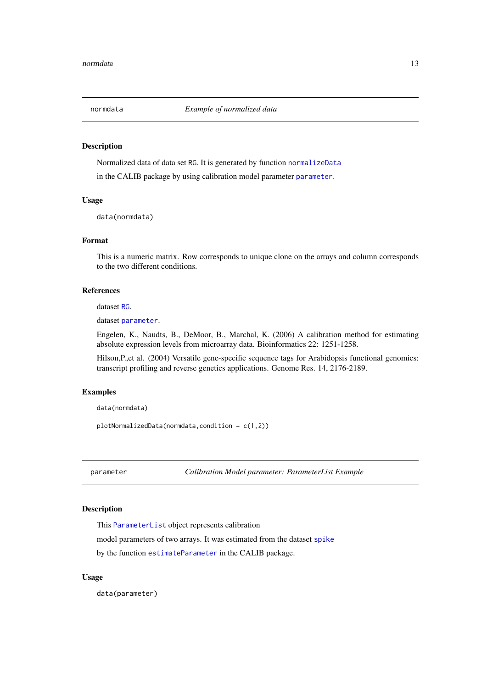<span id="page-12-0"></span>

#### Description

Normalized data of data set RG. It is generated by function [normalizeData](#page-10-1) in the CALIB package by using calibration model [parameter](#page-12-1) parameter.

### Usage

data(normdata)

#### Format

This is a numeric matrix. Row corresponds to unique clone on the arrays and column corresponds to the two different conditions.

### References

dataset [RG](#page-26-1).

dataset [parameter](#page-12-1).

Engelen, K., Naudts, B., DeMoor, B., Marchal, K. (2006) A calibration method for estimating absolute expression levels from microarray data. Bioinformatics 22: 1251-1258.

Hilson,P.,et al. (2004) Versatile gene-specific sequence tags for Arabidopsis functional genomics: transcript profiling and reverse genetics applications. Genome Res. 14, 2176-2189.

### Examples

data(normdata)

plotNormalizedData(normdata,condition = c(1,2))

<span id="page-12-1"></span>parameter *Calibration Model parameter: ParameterList Example*

### **Description**

This [ParameterList](#page-0-0) object represents calibration

model parameters of two arrays. It was estimated from the dataset [spike](#page-28-1)

by the function [estimateParameter](#page-6-1) in the CALIB package.

### Usage

data(parameter)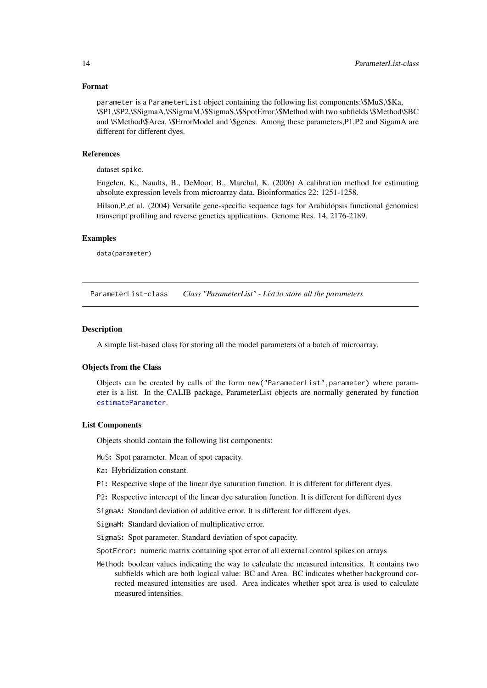### <span id="page-13-0"></span>Format

parameter is a ParameterList object containing the following list components:\\$MuS,\\$Ka, \\$P1,\\$P2,\\$SigmaA,\\$SigmaM,\\$SigmaS,\\$SpotError,\\$Method with two subfields \\$Method\\$BC and \\$Method\\$Area, \\$ErrorModel and \\$genes. Among these parameters,P1,P2 and SigamA are different for different dyes.

#### References

dataset spike.

Engelen, K., Naudts, B., DeMoor, B., Marchal, K. (2006) A calibration method for estimating absolute expression levels from microarray data. Bioinformatics 22: 1251-1258.

Hilson,P.,et al. (2004) Versatile gene-specific sequence tags for Arabidopsis functional genomics: transcript profiling and reverse genetics applications. Genome Res. 14, 2176-2189.

#### Examples

data(parameter)

ParameterList-class *Class "ParameterList" - List to store all the parameters*

#### Description

A simple list-based class for storing all the model parameters of a batch of microarray.

#### Objects from the Class

Objects can be created by calls of the form new ("ParameterList", parameter) where parameter is a list. In the CALIB package, ParameterList objects are normally generated by function [estimateParameter](#page-6-1).

#### List Components

Objects should contain the following list components:

- MuS: Spot parameter. Mean of spot capacity.
- Ka: Hybridization constant.
- P1: Respective slope of the linear dye saturation function. It is different for different dyes.
- P2: Respective intercept of the linear dye saturation function. It is different for different dyes
- SigmaA: Standard deviation of additive error. It is different for different dyes.
- SigmaM: Standard deviation of multiplicative error.
- SigmaS: Spot parameter. Standard deviation of spot capacity.
- SpotError: numeric matrix containing spot error of all external control spikes on arrays
- Method: boolean values indicating the way to calculate the measured intensities. It contains two subfields which are both logical value: BC and Area. BC indicates whether background corrected measured intensities are used. Area indicates whether spot area is used to calculate measured intensities.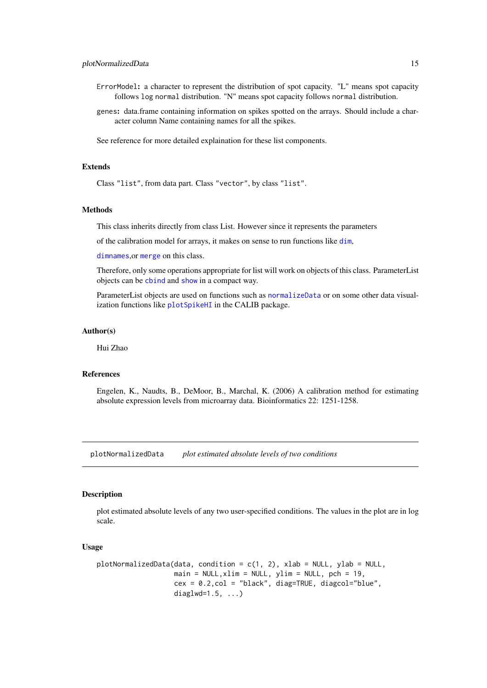- <span id="page-14-0"></span>ErrorModel: a character to represent the distribution of spot capacity. "L" means spot capacity follows log normal distribution. "N" means spot capacity follows normal distribution.
- genes: data.frame containing information on spikes spotted on the arrays. Should include a character column Name containing names for all the spikes.

See reference for more detailed explaination for these list components.

### Extends

Class "list", from data part. Class "vector", by class "list".

### Methods

This class inherits directly from class List. However since it represents the parameters

of the calibration model for arrays, it makes on sense to run functions like [dim](#page-4-1),

[dimnames](#page-5-1),or [merge](#page-9-1) on this class.

Therefore, only some operations appropriate for list will work on objects of this class. ParameterList objects can be [cbind](#page-3-1) and [show](#page-0-0) in a compact way.

ParameterList objects are used on functions such as [normalizeData](#page-10-1) or on some other data visualization functions like [plotSpikeHI](#page-17-1) in the CALIB package.

#### Author(s)

Hui Zhao

### References

Engelen, K., Naudts, B., DeMoor, B., Marchal, K. (2006) A calibration method for estimating absolute expression levels from microarray data. Bioinformatics 22: 1251-1258.

plotNormalizedData *plot estimated absolute levels of two conditions*

#### Description

plot estimated absolute levels of any two user-specified conditions. The values in the plot are in log scale.

#### Usage

```
plotNormalizedData(data, condition = c(1, 2), xlab = NULL, ylab = NULL,
                   main = NULL, xlim = NULL, ylim = NULL, pch = 19,cex = 0.2,col = "black", diag=TRUE, diagcol="blue",
                   diaglwd=1.5, ...)
```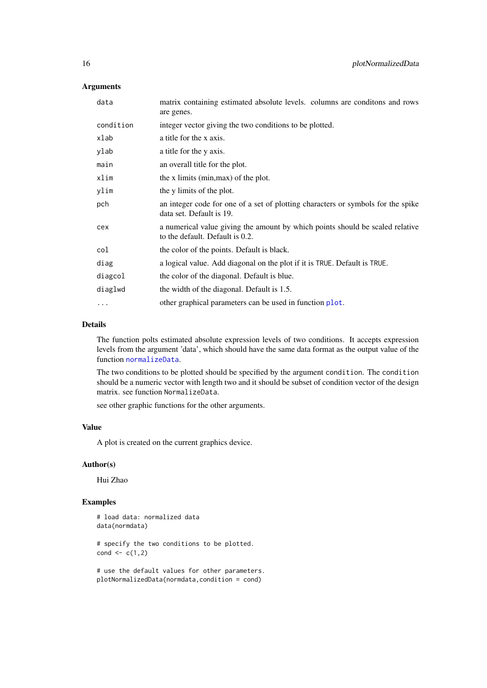### Arguments

| data      | matrix containing estimated absolute levels. columns are conditons and rows<br>are genes.                        |
|-----------|------------------------------------------------------------------------------------------------------------------|
| condition | integer vector giving the two conditions to be plotted.                                                          |
| xlab      | a title for the x axis.                                                                                          |
| ylab      | a title for the y axis.                                                                                          |
| main      | an overall title for the plot.                                                                                   |
| xlim      | the x limits (min, max) of the plot.                                                                             |
| ylim      | the y limits of the plot.                                                                                        |
| pch       | an integer code for one of a set of plotting characters or symbols for the spike<br>data set. Default is 19.     |
| cex       | a numerical value giving the amount by which points should be scaled relative<br>to the default. Default is 0.2. |
| col       | the color of the points. Default is black.                                                                       |
| diag      | a logical value. Add diagonal on the plot if it is TRUE. Default is TRUE.                                        |
| diagcol   | the color of the diagonal. Default is blue.                                                                      |
| diaglwd   | the width of the diagonal. Default is 1.5.                                                                       |
| $\cdots$  | other graphical parameters can be used in function plot.                                                         |

#### Details

The function polts estimated absolute expression levels of two conditions. It accepts expression levels from the argument 'data', which should have the same data format as the output value of the function [normalizeData](#page-10-1).

The two conditions to be plotted should be specified by the argument condition. The condition should be a numeric vector with length two and it should be subset of condition vector of the design matrix. see function NormalizeData.

see other graphic functions for the other arguments.

### Value

A plot is created on the current graphics device.

### Author(s)

Hui Zhao

### Examples

```
# load data: normalized data
data(normdata)
```
# specify the two conditions to be plotted. cond  $\leq c(1,2)$ 

# use the default values for other parameters. plotNormalizedData(normdata,condition = cond)

<span id="page-15-0"></span>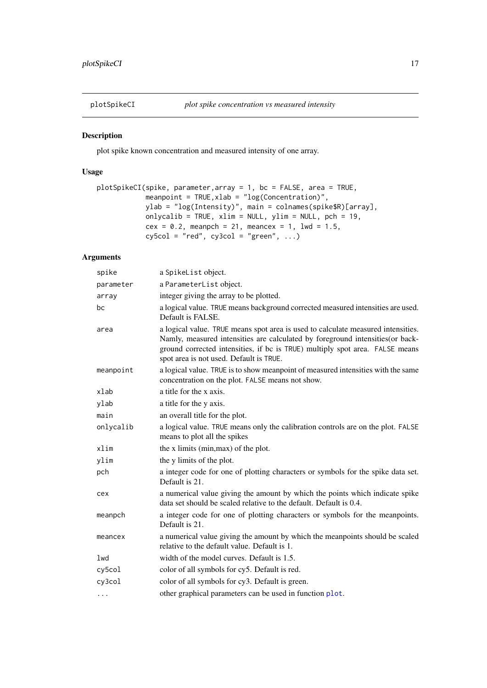<span id="page-16-0"></span>

### Description

plot spike known concentration and measured intensity of one array.

### Usage

```
plotSpikeCI(spike, parameter,array = 1, bc = FALSE, area = TRUE,
            meanpoint = TRUE,xlab = "log(Concentration)",
            ylab = "log(Intensity)", main = colnames(spike$R)[array],
            onlycalib = TRUE, xlim = NULL, ylim = NULL, pch = 19,
            cex = 0.2, meanpch = 21, meancex = 1, lwd = 1.5,
            cy5col = "red", cy3col = "green", ...}
```
### Arguments

| spike     | a SpikeList object.                                                                                                                                                                                                                                                                          |
|-----------|----------------------------------------------------------------------------------------------------------------------------------------------------------------------------------------------------------------------------------------------------------------------------------------------|
| parameter | a ParameterList object.                                                                                                                                                                                                                                                                      |
| array     | integer giving the array to be plotted.                                                                                                                                                                                                                                                      |
| bc        | a logical value. TRUE means background corrected measured intensities are used.<br>Default is FALSE.                                                                                                                                                                                         |
| area      | a logical value. TRUE means spot area is used to calculate measured intensities.<br>Namly, measured intensities are calculated by foreground intensities(or back-<br>ground corrected intensities, if bc is TRUE) multiply spot area. FALSE means<br>spot area is not used. Default is TRUE. |
| meanpoint | a logical value. TRUE is to show meanpoint of measured intensities with the same<br>concentration on the plot. FALSE means not show.                                                                                                                                                         |
| xlab      | a title for the x axis.                                                                                                                                                                                                                                                                      |
| ylab      | a title for the y axis.                                                                                                                                                                                                                                                                      |
| main      | an overall title for the plot.                                                                                                                                                                                                                                                               |
| onlycalib | a logical value. TRUE means only the calibration controls are on the plot. FALSE<br>means to plot all the spikes                                                                                                                                                                             |
| xlim      | the x limits (min, max) of the plot.                                                                                                                                                                                                                                                         |
| ylim      | the y limits of the plot.                                                                                                                                                                                                                                                                    |
| pch       | a integer code for one of plotting characters or symbols for the spike data set.<br>Default is 21.                                                                                                                                                                                           |
| cex       | a numerical value giving the amount by which the points which indicate spike<br>data set should be scaled relative to the default. Default is 0.4.                                                                                                                                           |
| meanpch   | a integer code for one of plotting characters or symbols for the meanpoints.<br>Default is 21.                                                                                                                                                                                               |
| meancex   | a numerical value giving the amount by which the meanpoints should be scaled<br>relative to the default value. Default is 1.                                                                                                                                                                 |
| lwd       | width of the model curves. Default is 1.5.                                                                                                                                                                                                                                                   |
| cy5col    | color of all symbols for cy5. Default is red.                                                                                                                                                                                                                                                |
| cy3col    | color of all symbols for cy3. Default is green.                                                                                                                                                                                                                                              |
| .         | other graphical parameters can be used in function plot.                                                                                                                                                                                                                                     |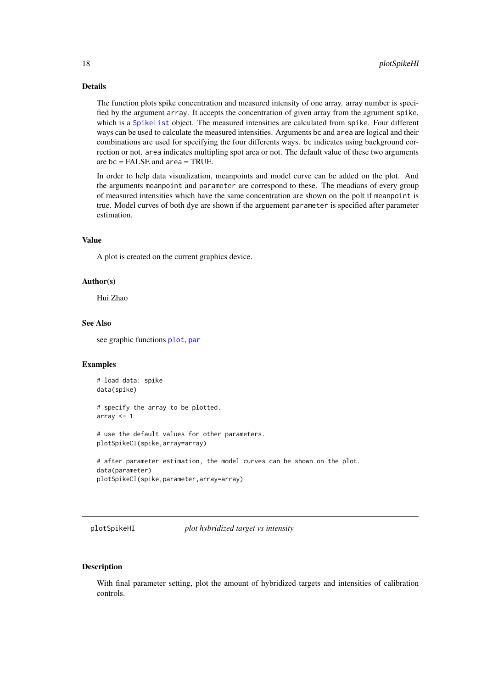#### Details

The function plots spike concentration and measured intensity of one array. array number is specified by the argument array. It accepts the concentration of given array from the agrument spike, which is a [SpikeList](#page-0-0) object. The measured intensities are calculated from spike. Four different ways can be used to calculate the measured intensities. Arguments bc and area are logical and their combinations are used for specifying the four differents ways. bc indicates using background correction or not. area indicates multipling spot area or not. The default value of these two arguments are bc = FALSE and area = TRUE.

In order to help data visualization, meanpoints and model curve can be added on the plot. And the arguments meanpoint and parameter are correspond to these. The meadians of every group of measured intensities which have the same concentration are shown on the polt if meanpoint is true. Model curves of both dye are shown if the arguement parameter is specified after parameter estimation.

### Value

A plot is created on the current graphics device.

#### Author(s)

Hui Zhao

#### See Also

see graphic functions [plot](#page-0-0), [par](#page-0-0)

#### Examples

# load data: spike data(spike) # specify the array to be plotted. array  $<-1$ # use the default values for other parameters. plotSpikeCI(spike,array=array) # after parameter estimation, the model curves can be shown on the plot. data(parameter) plotSpikeCI(spike,parameter,array=array)

<span id="page-17-1"></span>plotSpikeHI *plot hybridized target vs intensity*

### Description

With final parameter setting, plot the amount of hybridized targets and intensities of calibration controls.

<span id="page-17-0"></span>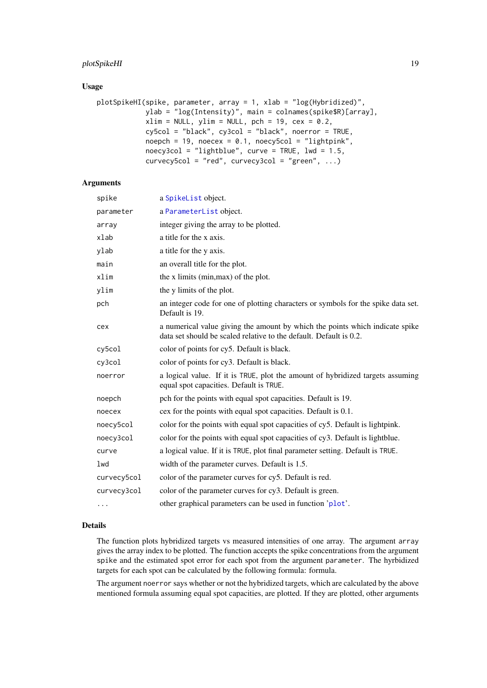### <span id="page-18-0"></span>plotSpikeHI 19

### Usage

```
plotSpikeHI(spike, parameter, array = 1, xlab = "log(Hybridized)",
           ylab = "log(Intensity)", main = colnames(spike$R)[array],
            xlim = NULL, ylim = NULL, pch = 19, cex = 0.2,
            cy5col = "black", cy3col = "black", noerror = TRUE,noepch = 19, noecex = 0.1, noecy5col = "lightpink",noecy3col = "lightblue", curve = TRUE, lwd = 1.5,
            curvecy5col = "red", curvecy3col = "green", ...)
```
### Arguments

| spike       | a SpikeList object.                                                                                                                                |
|-------------|----------------------------------------------------------------------------------------------------------------------------------------------------|
| parameter   | a ParameterList object.                                                                                                                            |
| array       | integer giving the array to be plotted.                                                                                                            |
| xlab        | a title for the x axis.                                                                                                                            |
| ylab        | a title for the y axis.                                                                                                                            |
| main        | an overall title for the plot.                                                                                                                     |
| xlim        | the x limits (min, max) of the plot.                                                                                                               |
| ylim        | the y limits of the plot.                                                                                                                          |
| pch         | an integer code for one of plotting characters or symbols for the spike data set.<br>Default is 19.                                                |
| cex         | a numerical value giving the amount by which the points which indicate spike<br>data set should be scaled relative to the default. Default is 0.2. |
| cy5col      | color of points for cy5. Default is black.                                                                                                         |
| cy3col      | color of points for cy3. Default is black.                                                                                                         |
| noerror     | a logical value. If it is TRUE, plot the amount of hybridized targets assuming<br>equal spot capacities. Default is TRUE.                          |
| noepch      | pch for the points with equal spot capacities. Default is 19.                                                                                      |
| noecex      | cex for the points with equal spot capacities. Default is 0.1.                                                                                     |
| noecy5col   | color for the points with equal spot capacities of cy5. Default is lightpink.                                                                      |
| noecy3col   | color for the points with equal spot capacities of cy3. Default is lightblue.                                                                      |
| curve       | a logical value. If it is TRUE, plot final parameter setting. Default is TRUE.                                                                     |
| lwd         | width of the parameter curves. Default is 1.5.                                                                                                     |
| curvecy5col | color of the parameter curves for cy5. Default is red.                                                                                             |
| curvecy3col | color of the parameter curves for cy3. Default is green.                                                                                           |
| $\cdots$    | other graphical parameters can be used in function 'plot'.                                                                                         |

### Details

The function plots hybridized targets vs measured intensities of one array. The argument array gives the array index to be plotted. The function accepts the spike concentrations from the argument spike and the estimated spot error for each spot from the argument parameter. The hyrbidized targets for each spot can be calculated by the following formula: formula.

The argument noerror says whether or not the hybridized targets, which are calculated by the above mentioned formula assuming equal spot capacities, are plotted. If they are plotted, other arguments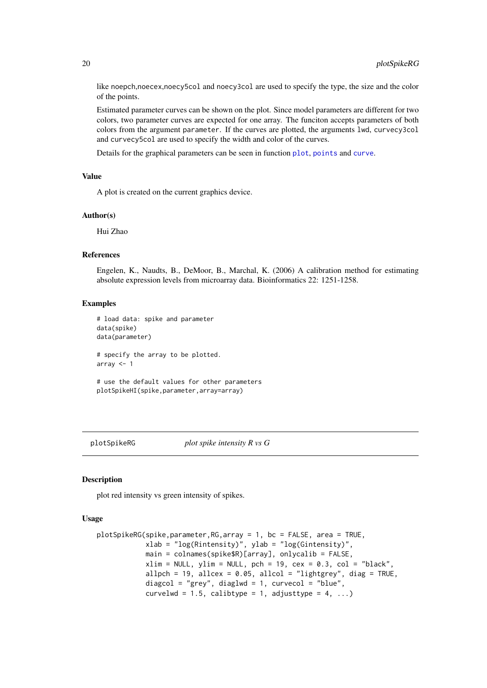like noepch,noecex,noecy5col and noecy3col are used to specify the type, the size and the color of the points.

Estimated parameter curves can be shown on the plot. Since model parameters are different for two colors, two parameter curves are expected for one array. The funciton accepts parameters of both colors from the argument parameter. If the curves are plotted, the arguments lwd, curvecy3col and curvecy5col are used to specify the width and color of the curves.

Details for the graphical parameters can be seen in function [plot](#page-0-0), [points](#page-0-0) and [curve](#page-0-0).

### Value

A plot is created on the current graphics device.

#### Author(s)

Hui Zhao

#### References

Engelen, K., Naudts, B., DeMoor, B., Marchal, K. (2006) A calibration method for estimating absolute expression levels from microarray data. Bioinformatics 22: 1251-1258.

#### Examples

```
# load data: spike and parameter
data(spike)
data(parameter)
# specify the array to be plotted.
array <-1# use the default values for other parameters
```

```
plotSpikeHI(spike,parameter,array=array)
```
plotSpikeRG *plot spike intensity R vs G*

#### Description

plot red intensity vs green intensity of spikes.

### Usage

```
plotSpikeRG(spike,parameter,RG,array = 1, bc = FALSE, area = TRUE,
            xlab = "log(Rintensity)", ylab = "log(Gintensity)",
            main = colnames(spike$R)[array], onlycalib = FALSE,
            xlim = NULL, ylim = NULL, pch = 19, cex = 0.3, col = "black",allpch = 19, allcex = 0.05, allcol = "lightgrey", diag = TRUE,
            diagcol = "grey", diaglwd = 1, curvecol = "blue",
            curvelwd = 1.5, calibtype = 1, adjusttype = 4, ...)
```
<span id="page-19-0"></span>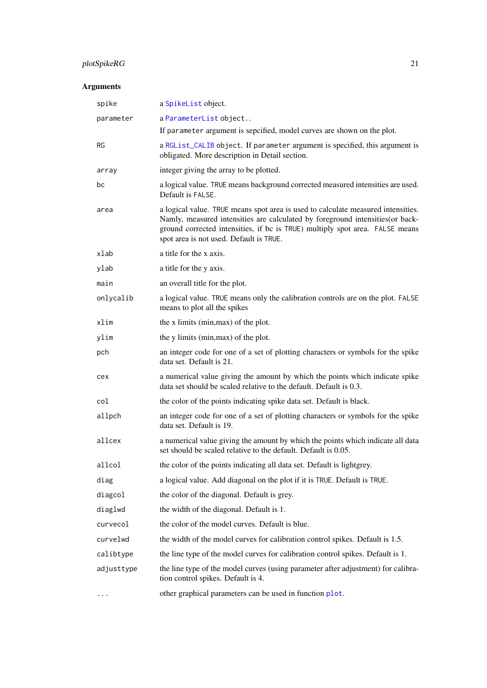## <span id="page-20-0"></span>plotSpikeRG 21

## Arguments

| spike      | a SpikeList object.                                                                                                                                                                                                                                                                          |
|------------|----------------------------------------------------------------------------------------------------------------------------------------------------------------------------------------------------------------------------------------------------------------------------------------------|
| parameter  | a ParameterList object                                                                                                                                                                                                                                                                       |
|            | If parameter argument is sepcified, model curves are shown on the plot.                                                                                                                                                                                                                      |
| RG         | a RGList_CALIB object. If parameter argument is specified, this argument is<br>obligated. More description in Detail section.                                                                                                                                                                |
| array      | integer giving the array to be plotted.                                                                                                                                                                                                                                                      |
| bc         | a logical value. TRUE means background corrected measured intensities are used.<br>Default is FALSE.                                                                                                                                                                                         |
| area       | a logical value. TRUE means spot area is used to calculate measured intensities.<br>Namly, measured intensities are calculated by foreground intensities(or back-<br>ground corrected intensities, if bc is TRUE) multiply spot area. FALSE means<br>spot area is not used. Default is TRUE. |
| xlab       | a title for the x axis.                                                                                                                                                                                                                                                                      |
| ylab       | a title for the y axis.                                                                                                                                                                                                                                                                      |
| main       | an overall title for the plot.                                                                                                                                                                                                                                                               |
| onlycalib  | a logical value. TRUE means only the calibration controls are on the plot. FALSE<br>means to plot all the spikes                                                                                                                                                                             |
| xlim       | the x limits (min, max) of the plot.                                                                                                                                                                                                                                                         |
| ylim       | the y limits (min, max) of the plot.                                                                                                                                                                                                                                                         |
| pch        | an integer code for one of a set of plotting characters or symbols for the spike<br>data set. Default is 21.                                                                                                                                                                                 |
| cex        | a numerical value giving the amount by which the points which indicate spike<br>data set should be scaled relative to the default. Default is 0.3.                                                                                                                                           |
| col        | the color of the points indicating spike data set. Default is black.                                                                                                                                                                                                                         |
| allpch     | an integer code for one of a set of plotting characters or symbols for the spike<br>data set. Default is 19.                                                                                                                                                                                 |
| allcex     | a numerical value giving the amount by which the points which indicate all data<br>set should be scaled relative to the default. Default is 0.05.                                                                                                                                            |
| allcol     | the color of the points indicating all data set. Default is lightgrey.                                                                                                                                                                                                                       |
| diag       | a logical value. Add diagonal on the plot if it is TRUE. Default is TRUE.                                                                                                                                                                                                                    |
| diagcol    | the color of the diagonal. Default is grey.                                                                                                                                                                                                                                                  |
| diaglwd    | the width of the diagonal. Default is 1.                                                                                                                                                                                                                                                     |
| curvecol   | the color of the model curves. Default is blue.                                                                                                                                                                                                                                              |
| curvelwd   | the width of the model curves for calibration control spikes. Default is 1.5.                                                                                                                                                                                                                |
| calibtype  | the line type of the model curves for calibration control spikes. Default is 1.                                                                                                                                                                                                              |
| adjusttype | the line type of the model curves (using parameter after adjustment) for calibra-<br>tion control spikes. Default is 4.                                                                                                                                                                      |
| .          | other graphical parameters can be used in function plot.                                                                                                                                                                                                                                     |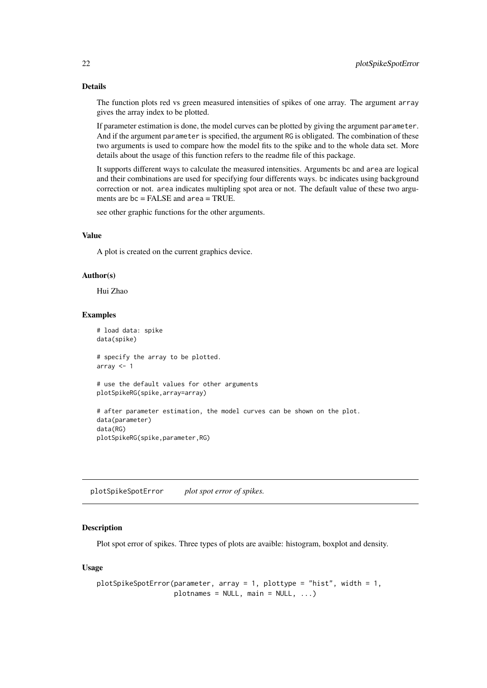### Details

The function plots red vs green measured intensities of spikes of one array. The argument array gives the array index to be plotted.

If parameter estimation is done, the model curves can be plotted by giving the argument parameter. And if the argument parameter is specified, the argument RG is obligated. The combination of these two arguments is used to compare how the model fits to the spike and to the whole data set. More details about the usage of this function refers to the readme file of this package.

It supports different ways to calculate the measured intensities. Arguments bc and area are logical and their combinations are used for specifying four differents ways. bc indicates using background correction or not. area indicates multipling spot area or not. The default value of these two arguments are bc = FALSE and area = TRUE.

see other graphic functions for the other arguments.

### Value

A plot is created on the current graphics device.

### Author(s)

Hui Zhao

#### Examples

```
# load data: spike
data(spike)
# specify the array to be plotted.
array <-1# use the default values for other arguments
plotSpikeRG(spike,array=array)
# after parameter estimation, the model curves can be shown on the plot.
data(parameter)
data(RG)
plotSpikeRG(spike,parameter,RG)
```
plotSpikeSpotError *plot spot error of spikes.*

#### Description

Plot spot error of spikes. Three types of plots are avaible: histogram, boxplot and density.

### Usage

```
plotSpikeSpotError(parameter, array = 1, plottype = "hist", width = 1,
                   plotnames = NULL, main = NULL, ...)
```
<span id="page-21-0"></span>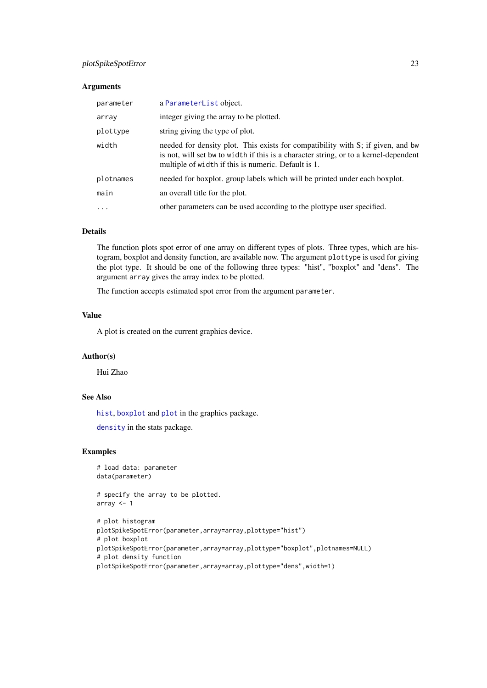#### <span id="page-22-0"></span>plotSpikeSpotError 23

### Arguments

| parameter         | a ParameterList object.                                                                                                                                                                                                        |
|-------------------|--------------------------------------------------------------------------------------------------------------------------------------------------------------------------------------------------------------------------------|
| array             | integer giving the array to be plotted.                                                                                                                                                                                        |
| plottype          | string giving the type of plot.                                                                                                                                                                                                |
| width             | needed for density plot. This exists for compatibility with S; if given, and bw<br>is not, will set bw to width if this is a character string, or to a kernel-dependent<br>multiple of width if this is numeric. Default is 1. |
| plotnames         | needed for boxplot. group labels which will be printed under each boxplot.                                                                                                                                                     |
| main              | an overall title for the plot.                                                                                                                                                                                                 |
| $\cdot\cdot\cdot$ | other parameters can be used according to the plottype user specified.                                                                                                                                                         |

#### Details

The function plots spot error of one array on different types of plots. Three types, which are histogram, boxplot and density function, are available now. The argument plottype is used for giving the plot type. It should be one of the following three types: "hist", "boxplot" and "dens". The argument array gives the array index to be plotted.

The function accepts estimated spot error from the argument parameter.

### Value

A plot is created on the current graphics device.

### Author(s)

Hui Zhao

### See Also

[hist](#page-0-0), [boxplot](#page-0-0) and [plot](#page-0-0) in the graphics package.

[density](#page-0-0) in the stats package.

### Examples

```
# load data: parameter
data(parameter)
```
# specify the array to be plotted. array <- 1

```
# plot histogram
plotSpikeSpotError(parameter,array=array,plottype="hist")
# plot boxplot
plotSpikeSpotError(parameter,array=array,plottype="boxplot",plotnames=NULL)
# plot density function
plotSpikeSpotError(parameter,array=array,plottype="dens",width=1)
```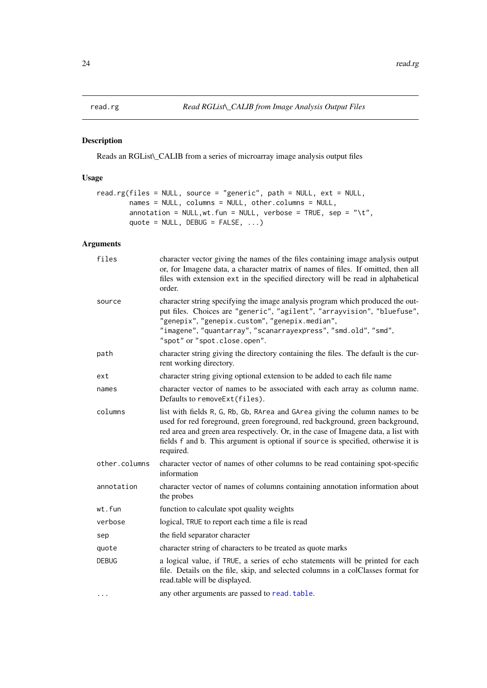<span id="page-23-1"></span><span id="page-23-0"></span>

### Description

Reads an RGList\\_CALIB from a series of microarray image analysis output files

### Usage

```
read.rg(files = NULL, source = "generic", path = NULL, ext = NULL,
        names = NULL, columns = NULL, other.columns = NULL,
        annotation = NULL, wt. fun = NULL, verbose = TRUE, sep = "\t",
        quote = NULL, DEBUG = FALSE, ...)
```
### Arguments

| files         | character vector giving the names of the files containing image analysis output<br>or, for Imagene data, a character matrix of names of files. If omitted, then all<br>files with extension ext in the specified directory will be read in alphabetical<br>order.                                                                                    |
|---------------|------------------------------------------------------------------------------------------------------------------------------------------------------------------------------------------------------------------------------------------------------------------------------------------------------------------------------------------------------|
| source        | character string specifying the image analysis program which produced the out-<br>put files. Choices are "generic", "agilent", "arrayvision", "bluefuse",<br>"genepix", "genepix.custom", "genepix.median",<br>"imagene", "quantarray", "scanarrayexpress", "smd.old", "smd",<br>"spot" or "spot.close.open".                                        |
| path          | character string giving the directory containing the files. The default is the cur-<br>rent working directory.                                                                                                                                                                                                                                       |
| ext           | character string giving optional extension to be added to each file name                                                                                                                                                                                                                                                                             |
| names         | character vector of names to be associated with each array as column name.<br>Defaults to removeExt(files).                                                                                                                                                                                                                                          |
| columns       | list with fields R, G, Rb, Gb, RArea and GArea giving the column names to be<br>used for red foreground, green foreground, red background, green background,<br>red area and green area respectively. Or, in the case of Imagene data, a list with<br>fields f and b. This argument is optional if source is specified, otherwise it is<br>required. |
| other.columns | character vector of names of other columns to be read containing spot-specific<br>information                                                                                                                                                                                                                                                        |
| annotation    | character vector of names of columns containing annotation information about<br>the probes                                                                                                                                                                                                                                                           |
| wt.fun        | function to calculate spot quality weights                                                                                                                                                                                                                                                                                                           |
| verbose       | logical, TRUE to report each time a file is read                                                                                                                                                                                                                                                                                                     |
| sep           | the field separator character                                                                                                                                                                                                                                                                                                                        |
| quote         | character string of characters to be treated as quote marks                                                                                                                                                                                                                                                                                          |
| <b>DEBUG</b>  | a logical value, if TRUE, a series of echo statements will be printed for each<br>file. Details on the file, skip, and selected columns in a colClasses format for<br>read.table will be displayed.                                                                                                                                                  |
| $\cdots$      | any other arguments are passed to read. table.                                                                                                                                                                                                                                                                                                       |
|               |                                                                                                                                                                                                                                                                                                                                                      |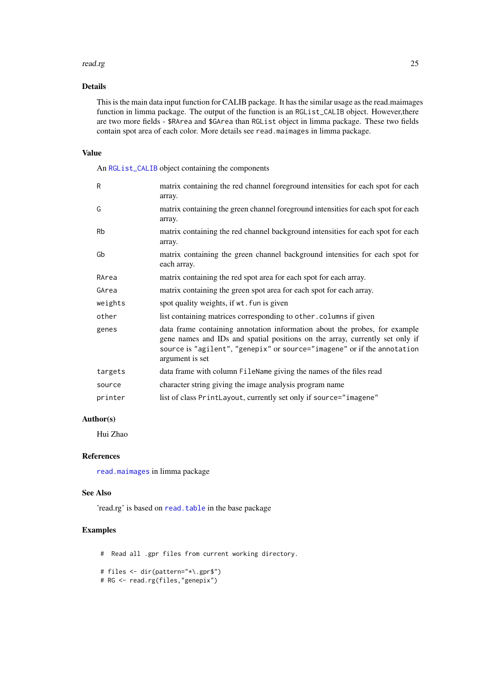#### <span id="page-24-0"></span>read.rg 25

### Details

This is the main data input function for CALIB package. It has the similar usage as the read.maimages function in limma package. The output of the function is an RGList\_CALIB object. However,there are two more fields - \$RArea and \$GArea than RGList object in limma package. These two fields contain spot area of each color. More details see read.maimages in limma package.

### Value

An [RGList\\_CALIB](#page-0-0) object containing the components

| $\mathsf{R}$ | matrix containing the red channel foreground intensities for each spot for each<br>array.                                                                                                                                                                |
|--------------|----------------------------------------------------------------------------------------------------------------------------------------------------------------------------------------------------------------------------------------------------------|
| G            | matrix containing the green channel foreground intensities for each spot for each<br>array.                                                                                                                                                              |
| <b>Rb</b>    | matrix containing the red channel background intensities for each spot for each<br>array.                                                                                                                                                                |
| Gb           | matrix containing the green channel background intensities for each spot for<br>each array.                                                                                                                                                              |
| RArea        | matrix containing the red spot area for each spot for each array.                                                                                                                                                                                        |
| GArea        | matrix containing the green spot area for each spot for each array.                                                                                                                                                                                      |
| weights      | spot quality weights, if wt. fun is given                                                                                                                                                                                                                |
| other        | list containing matrices corresponding to other. columns if given                                                                                                                                                                                        |
| genes        | data frame containing annotation information about the probes, for example<br>gene names and IDs and spatial positions on the array, currently set only if<br>source is "agilent", "genepix" or source="imagene" or if the annotation<br>argument is set |
| targets      | data frame with column FileName giving the names of the files read                                                                                                                                                                                       |
| source       | character string giving the image analysis program name                                                                                                                                                                                                  |
| printer      | list of class PrintLayout, currently set only if source="imagene"                                                                                                                                                                                        |

### Author(s)

Hui Zhao

#### References

[read.maimages](#page-0-0) in limma package

### See Also

'read.rg' is based on [read.table](#page-0-0) in the base package

### Examples

# Read all .gpr files from current working directory.

```
# files <- dir(pattern="*\.gpr$")
```
# RG <- read.rg(files,"genepix")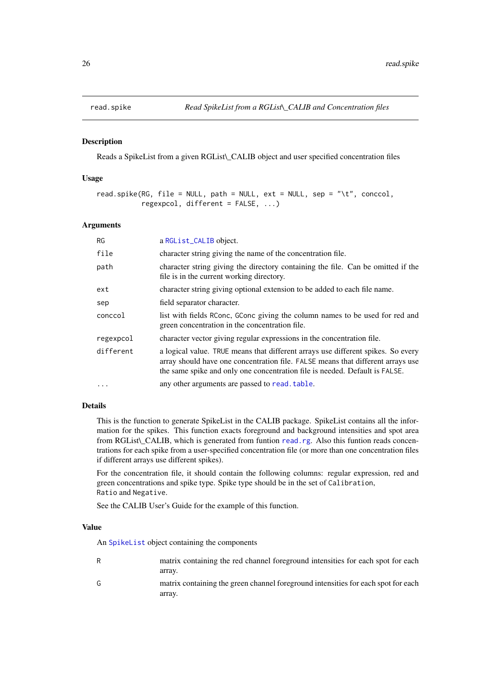<span id="page-25-1"></span><span id="page-25-0"></span>

#### Description

Reads a SpikeList from a given RGList\\_CALIB object and user specified concentration files

#### Usage

```
read.spike(RG, file = NULL, path = NULL, ext = NULL, sep = "\t", conccol,
           regexpcol, different = FALSE, ...)
```
#### Arguments

| RG        | a RGList_CALIB object.                                                                                                                                                                                                                             |
|-----------|----------------------------------------------------------------------------------------------------------------------------------------------------------------------------------------------------------------------------------------------------|
| file      | character string giving the name of the concentration file.                                                                                                                                                                                        |
| path      | character string giving the directory containing the file. Can be omitted if the<br>file is in the current working directory.                                                                                                                      |
| ext       | character string giving optional extension to be added to each file name.                                                                                                                                                                          |
| sep       | field separator character.                                                                                                                                                                                                                         |
| conccol   | list with fields RConc, GConc giving the column names to be used for red and<br>green concentration in the concentration file.                                                                                                                     |
| regexpcol | character vector giving regular expressions in the concentration file.                                                                                                                                                                             |
| different | a logical value. TRUE means that different arrays use different spikes. So every<br>array should have one concentration file. FALSE means that different arrays use<br>the same spike and only one concentration file is needed. Default is FALSE. |
| $\ddotsc$ | any other arguments are passed to read. table.                                                                                                                                                                                                     |

#### Details

This is the function to generate SpikeList in the CALIB package. SpikeList contains all the information for the spikes. This function exacts foreground and background intensities and spot area from RGList\ CALIB, which is generated from funtion [read.rg](#page-23-1). Also this funtion reads concentrations for each spike from a user-specified concentration file (or more than one concentration files if different arrays use different spikes).

For the concentration file, it should contain the following columns: regular expression, red and green concentrations and spike type. Spike type should be in the set of Calibration, Ratio and Negative.

See the CALIB User's Guide for the example of this function.

#### Value

An [SpikeList](#page-0-0) object containing the components

- R matrix containing the red channel foreground intensities for each spot for each array.
- G matrix containing the green channel foreground intensities for each spot for each array.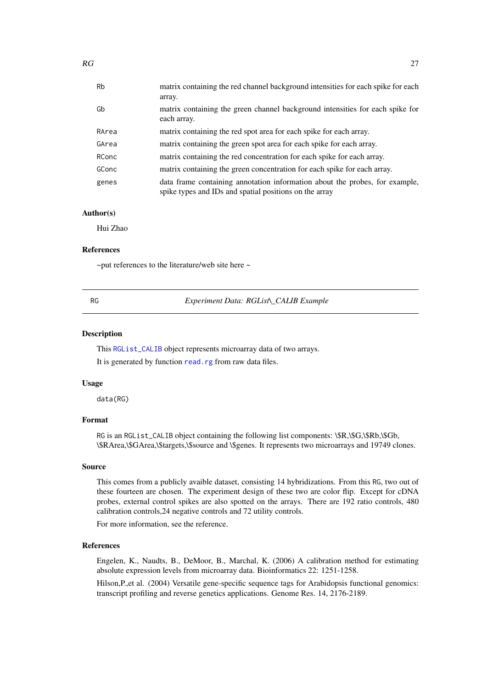<span id="page-26-0"></span>

| <b>Rb</b> | matrix containing the red channel background intensities for each spike for each<br>array.                                            |
|-----------|---------------------------------------------------------------------------------------------------------------------------------------|
| Gb        | matrix containing the green channel background intensities for each spike for<br>each array.                                          |
| RArea     | matrix containing the red spot area for each spike for each array.                                                                    |
| GArea     | matrix containing the green spot area for each spike for each array.                                                                  |
| RConc     | matrix containing the red concentration for each spike for each array.                                                                |
| GConc     | matrix containing the green concentration for each spike for each array.                                                              |
| genes     | data frame containing annotation information about the probes, for example,<br>spike types and IDs and spatial positions on the array |

#### Author(s)

Hui Zhao

#### References

 $\sim$ put references to the literature/web site here  $\sim$ 

<span id="page-26-1"></span>RG *Experiment Data: RGList\\_CALIB Example*

#### Description

This [RGList\\_CALIB](#page-0-0) object represents microarray data of two arrays.

It is generated by function [read.rg](#page-23-1) from raw data files.

### Usage

data(RG)

### Format

RG is an RGList\_CALIB object containing the following list components:  $\$R,\$G,\$Rb,\$Gb$ , \\$RArea,\\$GArea,\\$targets,\\$source and \\$genes. It represents two microarrays and 19749 clones.

### Source

This comes from a publicly avaible dataset, consisting 14 hybridizations. From this RG, two out of these fourteen are chosen. The experiment design of these two are color flip. Except for cDNA probes, external control spikes are also spotted on the arrays. There are 192 ratio controls, 480 calibration controls,24 negative controls and 72 utility controls.

For more information, see the reference.

#### References

Engelen, K., Naudts, B., DeMoor, B., Marchal, K. (2006) A calibration method for estimating absolute expression levels from microarray data. Bioinformatics 22: 1251-1258.

Hilson,P.,et al. (2004) Versatile gene-specific sequence tags for Arabidopsis functional genomics: transcript profiling and reverse genetics applications. Genome Res. 14, 2176-2189.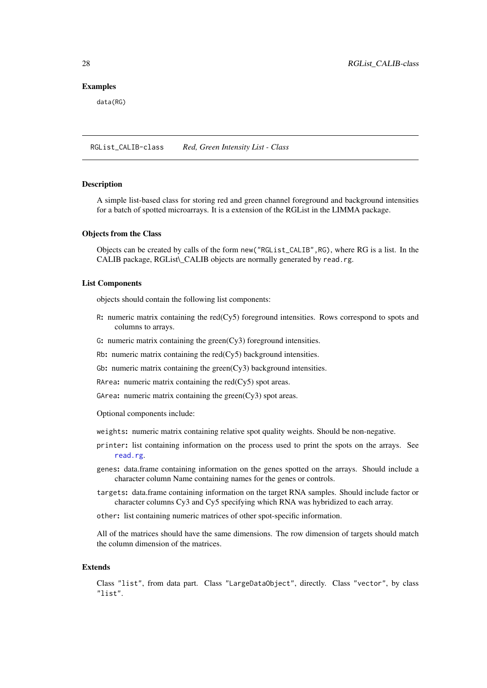### Examples

data(RG)

RGList\_CALIB-class *Red, Green Intensity List - Class*

### Description

A simple list-based class for storing red and green channel foreground and background intensities for a batch of spotted microarrays. It is a extension of the RGList in the LIMMA package.

#### Objects from the Class

Objects can be created by calls of the form new("RGList\_CALIB",RG), where RG is a list. In the CALIB package, RGList\\_CALIB objects are normally generated by read.rg.

#### List Components

objects should contain the following list components:

- R: numeric matrix containing the red(Cy5) foreground intensities. Rows correspond to spots and columns to arrays.
- G: numeric matrix containing the green(Cy3) foreground intensities.
- Rb: numeric matrix containing the  $red(Cy5)$  background intensities.
- Gb: numeric matrix containing the green $(Cy3)$  background intensities.
- RArea: numeric matrix containing the red(Cy5) spot areas.
- GArea: numeric matrix containing the green(Cy3) spot areas.

Optional components include:

- weights: numeric matrix containing relative spot quality weights. Should be non-negative.
- printer: list containing information on the process used to print the spots on the arrays. See [read.rg](#page-23-1).
- genes: data.frame containing information on the genes spotted on the arrays. Should include a character column Name containing names for the genes or controls.
- targets: data.frame containing information on the target RNA samples. Should include factor or character columns Cy3 and Cy5 specifying which RNA was hybridized to each array.
- other: list containing numeric matrices of other spot-specific information.

All of the matrices should have the same dimensions. The row dimension of targets should match the column dimension of the matrices.

### Extends

Class "list", from data part. Class "LargeDataObject", directly. Class "vector", by class "list".

<span id="page-27-0"></span>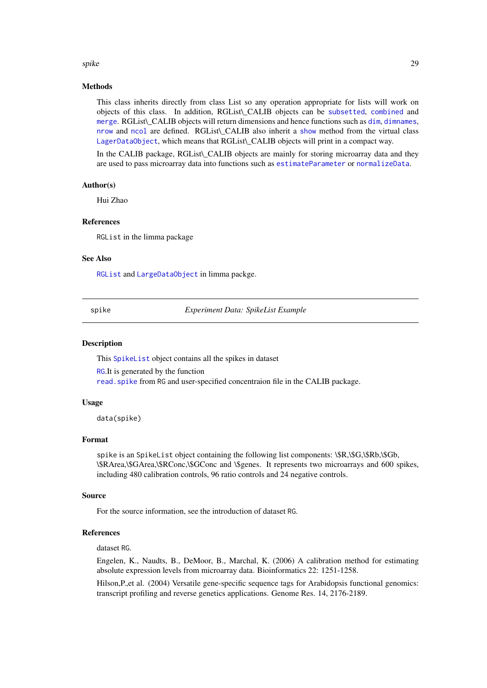#### <span id="page-28-0"></span>spike 29 and 20 and 20 and 20 and 20 and 20 and 20 and 20 and 20 and 20 and 20 and 20 and 20 and 20 and 20 and

#### Methods

This class inherits directly from class List so any operation appropriate for lists will work on objects of this class. In addition, RGList\\_CALIB objects can be [subsetted](#page-0-0), [combined](#page-0-0) and [merge](#page-9-1). RGList\ CALIB objects will return [dim](#page-4-1)ensions and hence functions such as dim, [dimnames](#page-5-1), [nrow](#page-0-0) and [ncol](#page-0-0) are defined. RGList\\_CALIB also inherit a [show](#page-0-0) method from the virtual class [LagerDataObject](#page-0-0), which means that RGList\\_CALIB objects will print in a compact way.

In the CALIB package, RGList\\_CALIB objects are mainly for storing microarray data and they are used to pass microarray data into functions such as [estimateParameter](#page-6-1) or [normalizeData](#page-10-1).

#### Author(s)

Hui Zhao

#### References

RGList in the limma package

#### See Also

[RGList](#page-0-0) and [LargeDataObject](#page-0-0) in limma packge.

<span id="page-28-1"></span>spike *Experiment Data: SpikeList Example*

#### Description

This [SpikeList](#page-0-0) object contains all the spikes in dataset

[RG](#page-26-1).It is generated by the function [read.spike](#page-25-1) from RG and user-specified concentraion file in the CALIB package.

#### Usage

data(spike)

#### Format

spike is an SpikeList object containing the following list components: \\$R,\\$G,\\$Rb,\\$Gb, \\$RArea,\\$GArea,\\$RConc,\\$GConc and \\$genes. It represents two microarrays and 600 spikes, including 480 calibration controls, 96 ratio controls and 24 negative controls.

### Source

For the source information, see the introduction of dataset RG.

### References

dataset RG.

Engelen, K., Naudts, B., DeMoor, B., Marchal, K. (2006) A calibration method for estimating absolute expression levels from microarray data. Bioinformatics 22: 1251-1258.

Hilson,P.,et al. (2004) Versatile gene-specific sequence tags for Arabidopsis functional genomics: transcript profiling and reverse genetics applications. Genome Res. 14, 2176-2189.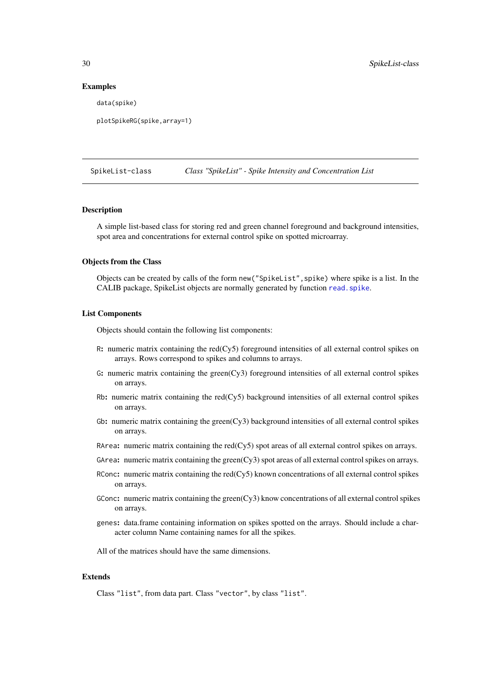#### Examples

data(spike)

```
plotSpikeRG(spike,array=1)
```
SpikeList-class *Class "SpikeList" - Spike Intensity and Concentration List*

### Description

A simple list-based class for storing red and green channel foreground and background intensities, spot area and concentrations for external control spike on spotted microarray.

#### Objects from the Class

Objects can be created by calls of the form new("SpikeList",spike) where spike is a list. In the CALIB package, SpikeList objects are normally generated by function [read.spike](#page-25-1).

#### List Components

Objects should contain the following list components:

- R: numeric matrix containing the red(Cy5) foreground intensities of all external control spikes on arrays. Rows correspond to spikes and columns to arrays.
- G: numeric matrix containing the green( $Cy3$ ) foreground intensities of all external control spikes on arrays.
- Rb: numeric matrix containing the red(Cy5) background intensities of all external control spikes on arrays.
- Gb: numeric matrix containing the green $(Cy3)$  background intensities of all external control spikes on arrays.
- RArea: numeric matrix containing the red(Cy5) spot areas of all external control spikes on arrays.
- GArea: numeric matrix containing the green(Cy3) spot areas of all external control spikes on arrays.
- RConc: numeric matrix containing the red(Cy5) known concentrations of all external control spikes on arrays.
- GConc: numeric matrix containing the green(Cy3) know concentrations of all external control spikes on arrays.
- genes: data.frame containing information on spikes spotted on the arrays. Should include a character column Name containing names for all the spikes.

All of the matrices should have the same dimensions.

### Extends

Class "list", from data part. Class "vector", by class "list".

<span id="page-29-0"></span>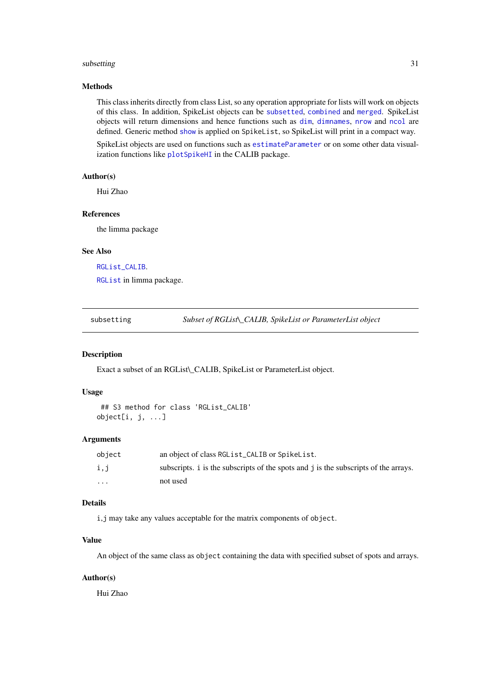#### <span id="page-30-0"></span>subsetting 31

### Methods

This class inherits directly from class List, so any operation appropriate for lists will work on objects of this class. In addition, SpikeList objects can be [subsetted](#page-0-0), [combined](#page-0-0) and [merged](#page-0-0). SpikeList objects will return dimensions and hence functions such as [dim](#page-4-1), [dimnames](#page-5-1), [nrow](#page-0-0) and [ncol](#page-0-0) are defined. Generic method [show](#page-0-0) is applied on SpikeList, so SpikeList will print in a compact way.

SpikeList objects are used on functions such as [estimateParameter](#page-6-1) or on some other data visualization functions like [plotSpikeHI](#page-17-1) in the CALIB package.

### Author(s)

Hui Zhao

### References

the limma package

#### See Also

[RGList\\_CALIB](#page-0-0).

[RGList](#page-0-0) in limma package.

<span id="page-30-1"></span>subsetting *Subset of RGList\\_CALIB, SpikeList or ParameterList object*

#### Description

Exact a subset of an RGList\\_CALIB, SpikeList or ParameterList object.

### Usage

```
## S3 method for class 'RGList_CALIB'
object[i, j, ...]
```
### Arguments

| obiect | an object of class RGL ist_CALIB or SpikeList.                                      |
|--------|-------------------------------------------------------------------------------------|
| i,j    | subscripts. i is the subscripts of the spots and j is the subscripts of the arrays. |
| .      | not used                                                                            |

### Details

i,j may take any values acceptable for the matrix components of object.

### Value

An object of the same class as object containing the data with specified subset of spots and arrays.

### Author(s)

Hui Zhao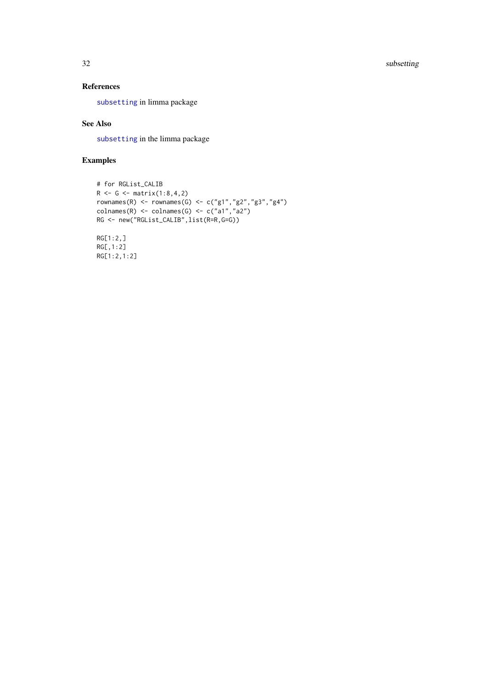<span id="page-31-0"></span>32 subsetting

### References

[subsetting](#page-30-1) in limma package

### See Also

[subsetting](#page-30-1) in the limma package

### Examples

RG[1:2,1:2]

```
# for RGList_CALIB
R <- G <- matrix(1:8,4,2)
rownames(R) <- rownames(G) <- c("g1","g2","g3","g4")
colnames(R) \le colnames(G) \le c("a1","a2")
RG <- new("RGList_CALIB",list(R=R,G=G))
RG[1:2,]RG[,1:2]
```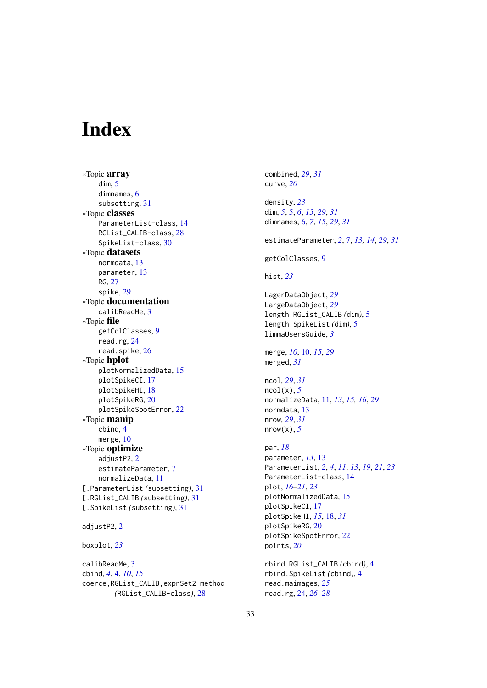# <span id="page-32-0"></span>Index

∗Topic array dim, [5](#page-4-0) dimnames, [6](#page-5-0) subsetting, [31](#page-30-0) ∗Topic classes ParameterList-class, [14](#page-13-0) RGList\_CALIB-class, [28](#page-27-0) SpikeList-class, [30](#page-29-0) ∗Topic datasets normdata, [13](#page-12-0) parameter, [13](#page-12-0) RG, [27](#page-26-0) spike, [29](#page-28-0) ∗Topic documentation calibReadMe, [3](#page-2-0) ∗Topic file getColClasses, [9](#page-8-0) read.rg, [24](#page-23-0) read.spike, [26](#page-25-0) ∗Topic hplot plotNormalizedData, [15](#page-14-0) plotSpikeCI, [17](#page-16-0) plotSpikeHI, [18](#page-17-0) plotSpikeRG, [20](#page-19-0) plotSpikeSpotError, [22](#page-21-0) ∗Topic manip cbind, [4](#page-3-0) merge, [10](#page-9-0) ∗Topic optimize adjustP[2](#page-1-0), 2 estimateParameter, [7](#page-6-0) normalizeData, [11](#page-10-0) [.ParameterList *(*subsetting*)*, [31](#page-30-0) [.RGList\_CALIB *(*subsetting*)*, [31](#page-30-0) [.SpikeList *(*subsetting*)*, [31](#page-30-0) adjustP2, [2](#page-1-0)

```
boxplot, 23
```
calibReadMe, [3](#page-2-0) cbind, *[4](#page-3-0)*, [4,](#page-3-0) *[10](#page-9-0)*, *[15](#page-14-0)* coerce,RGList\_CALIB,exprSet2-method *(*RGList\_CALIB-class*)*, [28](#page-27-0)

combined, *[29](#page-28-0)*, *[31](#page-30-0)* curve, *[20](#page-19-0)* density, *[23](#page-22-0)* dim, *[5](#page-4-0)*, [5,](#page-4-0) *[6](#page-5-0)*, *[15](#page-14-0)*, *[29](#page-28-0)*, *[31](#page-30-0)* dimnames, [6,](#page-5-0) *[7](#page-6-0)*, *[15](#page-14-0)*, *[29](#page-28-0)*, *[31](#page-30-0)* estimateParameter, *[2](#page-1-0)*, [7,](#page-6-0) *[13,](#page-12-0) [14](#page-13-0)*, *[29](#page-28-0)*, *[31](#page-30-0)* getColClasses, [9](#page-8-0) hist, *[23](#page-22-0)* LagerDataObject, *[29](#page-28-0)* LargeDataObject, *[29](#page-28-0)* length.RGList\_CALIB *(*dim*)*, [5](#page-4-0) length.SpikeList *(*dim*)*, [5](#page-4-0) limmaUsersGuide, *[3](#page-2-0)* merge, *[10](#page-9-0)*, [10,](#page-9-0) *[15](#page-14-0)*, *[29](#page-28-0)* merged, *[31](#page-30-0)* ncol, *[29](#page-28-0)*, *[31](#page-30-0)* ncol(x), *[5](#page-4-0)* normalizeData, [11,](#page-10-0) *[13](#page-12-0)*, *[15,](#page-14-0) [16](#page-15-0)*, *[29](#page-28-0)* normdata, [13](#page-12-0) nrow, *[29](#page-28-0)*, *[31](#page-30-0)* nrow(x), *[5](#page-4-0)* par, *[18](#page-17-0)* parameter, *[13](#page-12-0)*, [13](#page-12-0) ParameterList, *[2](#page-1-0)*, *[4](#page-3-0)*, *[11](#page-10-0)*, *[13](#page-12-0)*, *[19](#page-18-0)*, *[21](#page-20-0)*, *[23](#page-22-0)* ParameterList-class, [14](#page-13-0) plot, *[16–](#page-15-0)[21](#page-20-0)*, *[23](#page-22-0)* plotNormalizedData, [15](#page-14-0) plotSpikeCI, [17](#page-16-0) plotSpikeHI, *[15](#page-14-0)*, [18,](#page-17-0) *[31](#page-30-0)* plotSpikeRG, [20](#page-19-0) plotSpikeSpotError, [22](#page-21-0) points, *[20](#page-19-0)* rbind.RGList\_CALIB *(*cbind*)*, [4](#page-3-0) rbind.SpikeList *(*cbind*)*, [4](#page-3-0) read.maimages, *[25](#page-24-0)* read.rg, [24,](#page-23-0) *[26](#page-25-0)[–28](#page-27-0)*